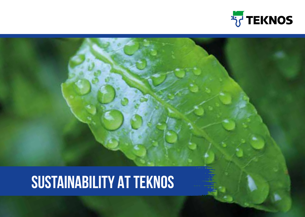

# **Sustainability At Teknos**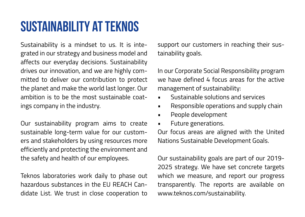# **Sustainability at Teknos**

Sustainability is a mindset to us. It is integrated in our strategy and business model and affects our everyday decisions. Sustainability drives our innovation, and we are highly committed to deliver our contribution to protect the planet and make the world last longer. Our ambition is to be the most sustainable coatings company in the industry.

Our sustainability program aims to create sustainable long-term value for our customers and stakeholders by using resources more efficiently and protecting the environment and the safety and health of our employees.

Teknos laboratories work daily to phase out hazardous substances in the EU REACH Candidate List. We trust in close cooperation to support our customers in reaching their sustainability goals.

In our Corporate Social Responsibility program we have defined  $4$  focus areas for the active management of sustainability:

- Sustainable solutions and services
- Responsible operations and supply chain
- People development
- Future generations.

Our focus areas are aligned with the United Nations Sustainable Development Goals.

Our sustainability goals are part of our 2019- 2025 strategy. We have set concrete targets which we measure, and report our progress transparently. The reports are available on www.teknos.com/sustainability.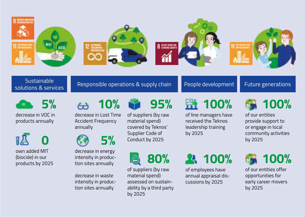

## Sustainable<br>solutions & services



decrease in VOC in products annually

 **0**

own added MIT (biocide) in our products by 2025

 **10%**

decrease in Lost Time Accident Frequency annually



decrease in energy intensity in production sites annually

decrease in waste intensity in production sites annually

 **95%**

of suppliers (by raw material spend) covered by Teknos' Supplier Code of Conduct by 2025

 **80%**

of suppliers (by raw material spend) assessed on sustainability by a third party by 2025

#### Responsible operations & supply chain  $\blacksquare$  People development  $\blacksquare$  Future generations

## **100%**

of line managers have received the Teknos leadership training by 2025

 **100%** of employees have annual appraisal discussions by 2025



of our entities provide support to or engage in local community activities by 2025



of our entities offer opportunities for early career movers by 2025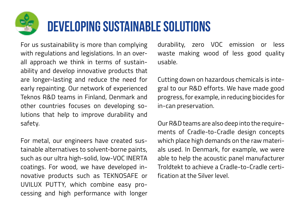# **Developing sustainable solutions**

For us sustainability is more than complying with regulations and legislations. In an overall approach we think in terms of sustainability and develop innovative products that are longer-lasting and reduce the need for early repainting. Our network of experienced Teknos R&D teams in Finland, Denmark and other countries focuses on developing solutions that help to improve durability and safety.

For metal, our engineers have created sustainable alternatives to solvent-borne paints, such as our ultra high-solid, low-VOC INERTA coatings. For wood, we have developed innovative products such as TEKNOSAFE or UVILUX PUTTY, which combine easy processing and high performance with longer

durability, zero VOC emission or less waste making wood of less good quality usable.

Cutting down on hazardous chemicals is integral to our R&D efforts. We have made good progress, for example, in reducing biocides for in-can preservation.

Our R&D teams are also deep into the requirements of Cradle-to-Cradle design concepts which place high demands on the raw materials used. In Denmark, for example, we were able to help the acoustic panel manufacturer Troldtekt to achieve a Cradle-to-Cradle certification at the Silver level.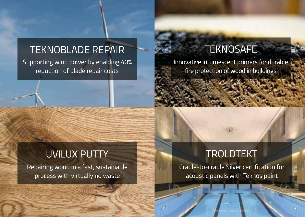#### TEKNOBLADE REPAIR

Supporting wind power by enabling 40% reduction of blade repair costs

#### **TEKNOSAFE**

Innovative intumescent primers for durable fire protection of wood in buildings

#### UVILUX PUTTY

Repairing wood in a fast, sustainable process with virtually no waste

### TROLDTEKT

Cradle-to-cradle Silver certification for acoustic panels with Teknos paint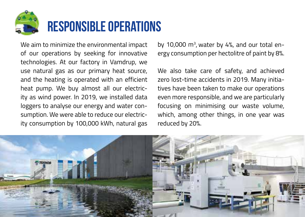

We aim to minimize the environmental impact of our operations by seeking for innovative technologies. At our factory in Vamdrup, we use natural gas as our primary heat source, and the heating is operated with an efficient heat pump. We buy almost all our electricity as wind power. In 2019, we installed data loggers to analyse our energy and water consumption. We were able to reduce our electricity consumption by 100,000 kWh, natural gas

by 10,000  $\mathrm{m}^3$ , water by 4%, and our total energy consumption per hectolitre of paint by 8%.

We also take care of safety, and achieved zero lost-time accidents in 2019. Many initiatives have been taken to make our operations even more responsible, and we are particularly focusing on minimising our waste volume, which, among other things, in one year was reduced by 20%.

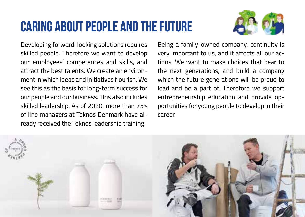# **Caring about people and The future**



Developing forward-looking solutions requires skilled people. Therefore we want to develop our employees' competences and skills, and attract the best talents. We create an environment in which ideas and initiatives flourish. We see this as the basis for long-term success for our people and our business. This also includes skilled leadership. As of 2020, more than 75% of line managers at Teknos Denmark have already received the Teknos leadership training.

Being a family-owned company, continuity is very important to us, and it affects all our actions. We want to make choices that bear to the next generations, and build a company which the future generations will be proud to lead and be a part of. Therefore we support entrepreneurship education and provide opportunities for young people to develop in their career.